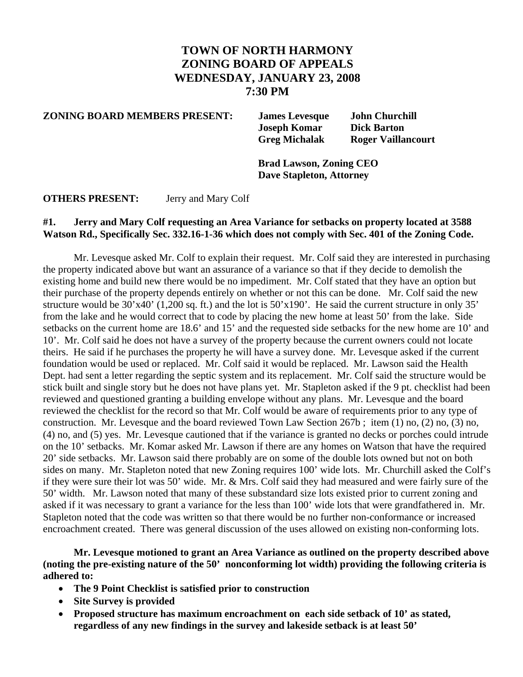## **TOWN OF NORTH HARMONY ZONING BOARD OF APPEALS WEDNESDAY, JANUARY 23, 2008 7:30 PM**

**ZONING BOARD MEMBERS PRESENT: James Levesque John Churchill** 

 **Joseph Komar Dick Barton Greg Michalak Roger Vaillancourt** 

 **Brad Lawson, Zoning CEO Dave Stapleton, Attorney** 

**OTHERS PRESENT:** Jerry and Mary Colf

## **#1. Jerry and Mary Colf requesting an Area Variance for setbacks on property located at 3588 Watson Rd., Specifically Sec. 332.16-1-36 which does not comply with Sec. 401 of the Zoning Code.**

Mr. Levesque asked Mr. Colf to explain their request. Mr. Colf said they are interested in purchasing the property indicated above but want an assurance of a variance so that if they decide to demolish the existing home and build new there would be no impediment. Mr. Colf stated that they have an option but their purchase of the property depends entirely on whether or not this can be done. Mr. Colf said the new structure would be 30'x40' (1,200 sq. ft.) and the lot is 50'x190'. He said the current structure in only 35' from the lake and he would correct that to code by placing the new home at least 50' from the lake. Side setbacks on the current home are 18.6' and 15' and the requested side setbacks for the new home are 10' and 10'. Mr. Colf said he does not have a survey of the property because the current owners could not locate theirs. He said if he purchases the property he will have a survey done. Mr. Levesque asked if the current foundation would be used or replaced. Mr. Colf said it would be replaced. Mr. Lawson said the Health Dept. had sent a letter regarding the septic system and its replacement. Mr. Colf said the structure would be stick built and single story but he does not have plans yet. Mr. Stapleton asked if the 9 pt. checklist had been reviewed and questioned granting a building envelope without any plans. Mr. Levesque and the board reviewed the checklist for the record so that Mr. Colf would be aware of requirements prior to any type of construction. Mr. Levesque and the board reviewed Town Law Section 267b ; item (1) no, (2) no, (3) no, (4) no, and (5) yes. Mr. Levesque cautioned that if the variance is granted no decks or porches could intrude on the 10' setbacks. Mr. Komar asked Mr. Lawson if there are any homes on Watson that have the required 20' side setbacks. Mr. Lawson said there probably are on some of the double lots owned but not on both sides on many. Mr. Stapleton noted that new Zoning requires 100' wide lots. Mr. Churchill asked the Colf's if they were sure their lot was 50' wide. Mr. & Mrs. Colf said they had measured and were fairly sure of the 50' width. Mr. Lawson noted that many of these substandard size lots existed prior to current zoning and asked if it was necessary to grant a variance for the less than 100' wide lots that were grandfathered in. Mr. Stapleton noted that the code was written so that there would be no further non-conformance or increased encroachment created.There was general discussion of the uses allowed on existing non-conforming lots.

**Mr. Levesque motioned to grant an Area Variance as outlined on the property described above (noting the pre-existing nature of the 50' nonconforming lot width) providing the following criteria is adhered to:** 

- **The 9 Point Checklist is satisfied prior to construction**
- **Site Survey is provided**
- **Proposed structure has maximum encroachment on each side setback of 10' as stated, regardless of any new findings in the survey and lakeside setback is at least 50'**